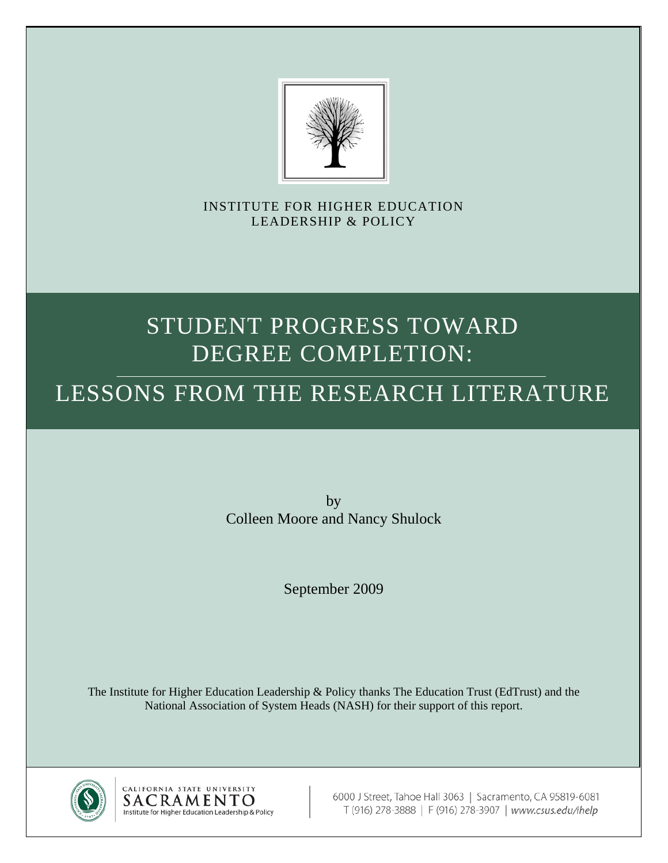

INSTITUTE FOR HIGHER EDUCATION LEADERSHIP & POLICY

# STUDENT PROGRESS TOWARD DEGREE COMPLETION:

# LESSONS FROM THE RESEARCH LITERATURE

by Colleen Moore and Nancy Shulock

September 2009

The Institute for Higher Education Leadership & Policy thanks The Education Trust (EdTrust) and the National Association of System Heads (NASH) for their support of this report.



CALIFORNIA STATE UNIVERSITY SACRAMENTO Institute for Higher Education Leadership & Policy

6000 J Street, Tahoe Hall 3063 | Sacramento, CA 95819-6081 T (916) 278-3888 | F (916) 278-3907 | www.csus.edu/ihelp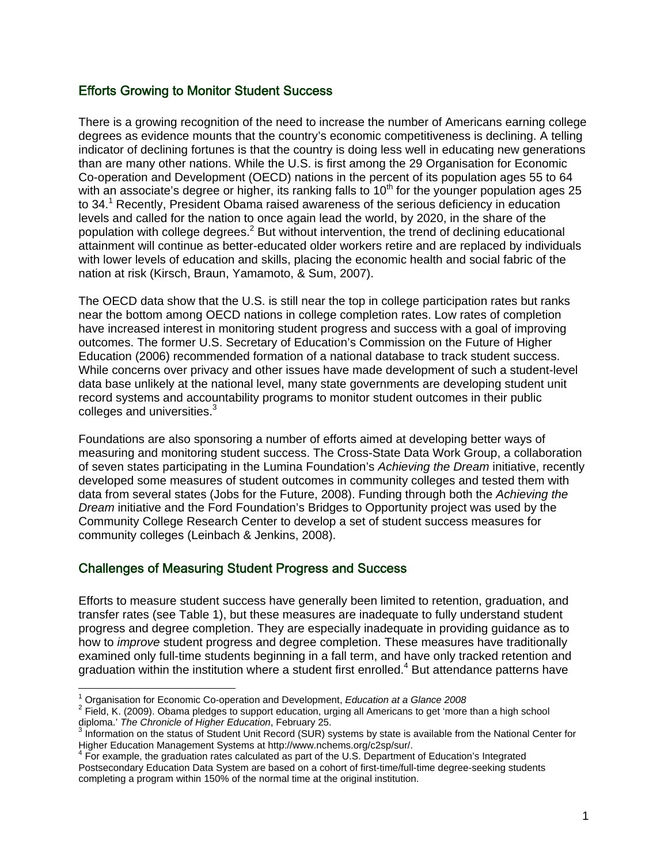# Efforts Growing to Monitor Student Success

There is a growing recognition of the need to increase the number of Americans earning college degrees as evidence mounts that the country's economic competitiveness is declining. A telling indicator of declining fortunes is that the country is doing less well in educating new generations than are many other nations. While the U.S. is first among the 29 Organisation for Economic Co-operation and Development (OECD) nations in the percent of its population ages 55 to 64 with an associate's degree or higher, its ranking falls to  $10<sup>th</sup>$  for the younger population ages 25 to 34.<sup>1</sup> Recently, President Obama raised awareness of the serious deficiency in education levels and called for the nation to once again lead the world, by 2020, in the share of the population with college degrees.<sup>2</sup> But without intervention, the trend of declining educational attainment will continue as better-educated older workers retire and are replaced by individuals with lower levels of education and skills, placing the economic health and social fabric of the nation at risk (Kirsch, Braun, Yamamoto, & Sum, 2007).

The OECD data show that the U.S. is still near the top in college participation rates but ranks near the bottom among OECD nations in college completion rates. Low rates of completion have increased interest in monitoring student progress and success with a goal of improving outcomes. The former U.S. Secretary of Education's Commission on the Future of Higher Education (2006) recommended formation of a national database to track student success. While concerns over privacy and other issues have made development of such a student-level data base unlikely at the national level, many state governments are developing student unit record systems and accountability programs to monitor student outcomes in their public colleges and universities.<sup>3</sup>

Foundations are also sponsoring a number of efforts aimed at developing better ways of measuring and monitoring student success. The Cross-State Data Work Group, a collaboration of seven states participating in the Lumina Foundation's *Achieving the Dream* initiative, recently developed some measures of student outcomes in community colleges and tested them with data from several states (Jobs for the Future, 2008). Funding through both the *Achieving the Dream* initiative and the Ford Foundation's Bridges to Opportunity project was used by the Community College Research Center to develop a set of student success measures for community colleges (Leinbach & Jenkins, 2008).

# Challenges of Measuring Student Progress and Success

 $\overline{1}$ 

Efforts to measure student success have generally been limited to retention, graduation, and transfer rates (see Table 1), but these measures are inadequate to fully understand student progress and degree completion. They are especially inadequate in providing guidance as to how to *improve* student progress and degree completion. These measures have traditionally examined only full-time students beginning in a fall term, and have only tracked retention and graduation within the institution where a student first enrolled.<sup>4</sup> But attendance patterns have

<sup>&</sup>lt;sup>1</sup> Organisation for Economic Co-operation and Development, *Education at a Glance 2008*<br><sup>2</sup> Field, K. (2000), Obems plodges to support advestion, urging all Americans to get imera

<sup>&</sup>lt;sup>2</sup> Field, K. (2009). Obama pledges to support education, urging all Americans to get 'more than a high school

diploma.' *The Chronicle of Higher Education*, February 25.<br><sup>3</sup> Information on the status of Student Unit Record (SUR) systems by state is available from the National Center for Higher Education Management Systems at http://www.nchems.org/c2sp/sur/.

<sup>&</sup>lt;sup>4</sup> For example, the graduation rates calculated as part of the U.S. Department of Education's Integrated Postsecondary Education Data System are based on a cohort of first-time/full-time degree-seeking students completing a program within 150% of the normal time at the original institution.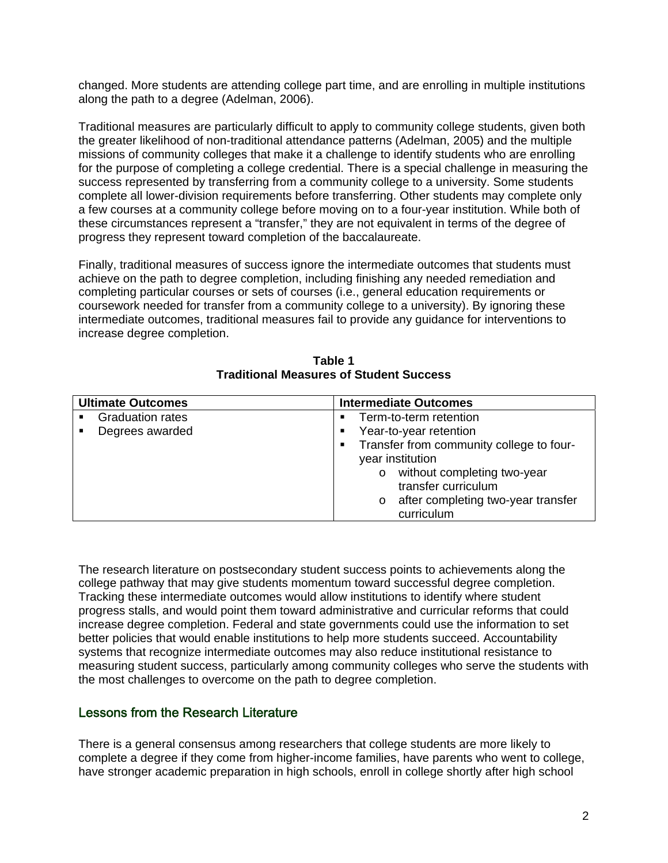changed. More students are attending college part time, and are enrolling in multiple institutions along the path to a degree (Adelman, 2006).

Traditional measures are particularly difficult to apply to community college students, given both the greater likelihood of non-traditional attendance patterns (Adelman, 2005) and the multiple missions of community colleges that make it a challenge to identify students who are enrolling for the purpose of completing a college credential. There is a special challenge in measuring the success represented by transferring from a community college to a university. Some students complete all lower-division requirements before transferring. Other students may complete only a few courses at a community college before moving on to a four-year institution. While both of these circumstances represent a "transfer," they are not equivalent in terms of the degree of progress they represent toward completion of the baccalaureate.

Finally, traditional measures of success ignore the intermediate outcomes that students must achieve on the path to degree completion, including finishing any needed remediation and completing particular courses or sets of courses (i.e., general education requirements or coursework needed for transfer from a community college to a university). By ignoring these intermediate outcomes, traditional measures fail to provide any guidance for interventions to increase degree completion.

| <b>Ultimate Outcomes</b> |                         | <b>Intermediate Outcomes</b> |                  |                                          |
|--------------------------|-------------------------|------------------------------|------------------|------------------------------------------|
| $\blacksquare$           | <b>Graduation rates</b> | $\blacksquare$               |                  | Term-to-term retention                   |
|                          | Degrees awarded         | $\blacksquare$               |                  | Year-to-year retention                   |
|                          |                         | $\blacksquare$               |                  | Transfer from community college to four- |
|                          |                         |                              | year institution |                                          |
|                          |                         |                              | $\circ$          | without completing two-year              |
|                          |                         |                              |                  | transfer curriculum                      |
|                          |                         |                              | $\circ$          | after completing two-year transfer       |
|                          |                         |                              |                  | curriculum                               |

**Table 1 Traditional Measures of Student Success** 

The research literature on postsecondary student success points to achievements along the college pathway that may give students momentum toward successful degree completion. Tracking these intermediate outcomes would allow institutions to identify where student progress stalls, and would point them toward administrative and curricular reforms that could increase degree completion. Federal and state governments could use the information to set better policies that would enable institutions to help more students succeed. Accountability systems that recognize intermediate outcomes may also reduce institutional resistance to measuring student success, particularly among community colleges who serve the students with the most challenges to overcome on the path to degree completion.

# Lessons from the Research Literature

There is a general consensus among researchers that college students are more likely to complete a degree if they come from higher-income families, have parents who went to college, have stronger academic preparation in high schools, enroll in college shortly after high school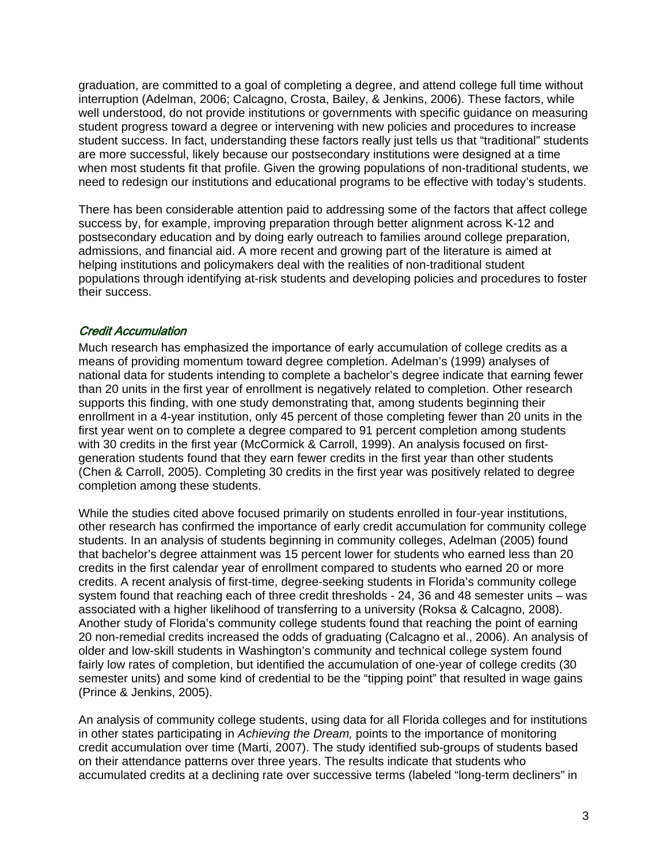graduation, are committed to a goal of completing a degree, and attend college full time without interruption (Adelman, 2006; Calcagno, Crosta, Bailey, & Jenkins, 2006). These factors, while well understood, do not provide institutions or governments with specific guidance on measuring student progress toward a degree or intervening with new policies and procedures to increase student success. In fact, understanding these factors really just tells us that "traditional" students are more successful, likely because our postsecondary institutions were designed at a time when most students fit that profile. Given the growing populations of non-traditional students, we need to redesign our institutions and educational programs to be effective with today's students.

There has been considerable attention paid to addressing some of the factors that affect college success by, for example, improving preparation through better alignment across K-12 and postsecondary education and by doing early outreach to families around college preparation, admissions, and financial aid. A more recent and growing part of the literature is aimed at helping institutions and policymakers deal with the realities of non-traditional student populations through identifying at-risk students and developing policies and procedures to foster their success.

# Credit Accumulation

Much research has emphasized the importance of early accumulation of college credits as a means of providing momentum toward degree completion. Adelman's (1999) analyses of national data for students intending to complete a bachelor's degree indicate that earning fewer than 20 units in the first year of enrollment is negatively related to completion. Other research supports this finding, with one study demonstrating that, among students beginning their enrollment in a 4-year institution, only 45 percent of those completing fewer than 20 units in the first year went on to complete a degree compared to 91 percent completion among students with 30 credits in the first year (McCormick & Carroll, 1999). An analysis focused on firstgeneration students found that they earn fewer credits in the first year than other students (Chen & Carroll, 2005). Completing 30 credits in the first year was positively related to degree completion among these students.

While the studies cited above focused primarily on students enrolled in four-year institutions, other research has confirmed the importance of early credit accumulation for community college students. In an analysis of students beginning in community colleges, Adelman (2005) found that bachelor's degree attainment was 15 percent lower for students who earned less than 20 credits in the first calendar year of enrollment compared to students who earned 20 or more credits. A recent analysis of first-time, degree-seeking students in Florida's community college system found that reaching each of three credit thresholds - 24, 36 and 48 semester units – was associated with a higher likelihood of transferring to a university (Roksa & Calcagno, 2008). Another study of Florida's community college students found that reaching the point of earning 20 non-remedial credits increased the odds of graduating (Calcagno et al., 2006). An analysis of older and low-skill students in Washington's community and technical college system found fairly low rates of completion, but identified the accumulation of one-year of college credits (30 semester units) and some kind of credential to be the "tipping point" that resulted in wage gains (Prince & Jenkins, 2005).

An analysis of community college students, using data for all Florida colleges and for institutions in other states participating in *Achieving the Dream,* points to the importance of monitoring credit accumulation over time (Marti, 2007). The study identified sub-groups of students based on their attendance patterns over three years. The results indicate that students who accumulated credits at a declining rate over successive terms (labeled "long-term decliners" in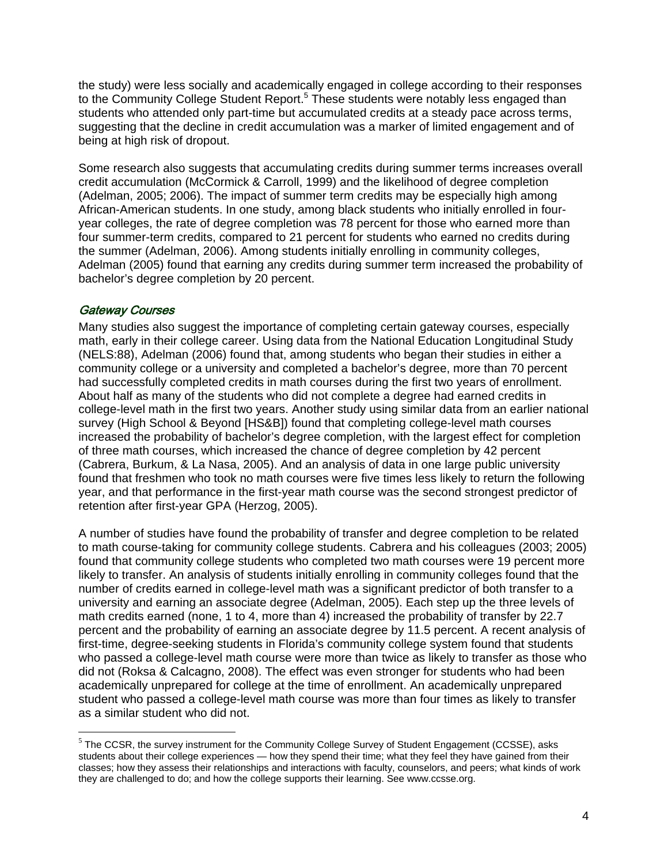the study) were less socially and academically engaged in college according to their responses to the Community College Student Report.<sup>5</sup> These students were notably less engaged than students who attended only part-time but accumulated credits at a steady pace across terms, suggesting that the decline in credit accumulation was a marker of limited engagement and of being at high risk of dropout.

Some research also suggests that accumulating credits during summer terms increases overall credit accumulation (McCormick & Carroll, 1999) and the likelihood of degree completion (Adelman, 2005; 2006). The impact of summer term credits may be especially high among African-American students. In one study, among black students who initially enrolled in fouryear colleges, the rate of degree completion was 78 percent for those who earned more than four summer-term credits, compared to 21 percent for students who earned no credits during the summer (Adelman, 2006). Among students initially enrolling in community colleges, Adelman (2005) found that earning any credits during summer term increased the probability of bachelor's degree completion by 20 percent.

#### Gateway Courses

 $\overline{a}$ 

Many studies also suggest the importance of completing certain gateway courses, especially math, early in their college career. Using data from the National Education Longitudinal Study (NELS:88), Adelman (2006) found that, among students who began their studies in either a community college or a university and completed a bachelor's degree, more than 70 percent had successfully completed credits in math courses during the first two years of enrollment. About half as many of the students who did not complete a degree had earned credits in college-level math in the first two years. Another study using similar data from an earlier national survey (High School & Beyond [HS&B]) found that completing college-level math courses increased the probability of bachelor's degree completion, with the largest effect for completion of three math courses, which increased the chance of degree completion by 42 percent (Cabrera, Burkum, & La Nasa, 2005). And an analysis of data in one large public university found that freshmen who took no math courses were five times less likely to return the following year, and that performance in the first-year math course was the second strongest predictor of retention after first-year GPA (Herzog, 2005).

A number of studies have found the probability of transfer and degree completion to be related to math course-taking for community college students. Cabrera and his colleagues (2003; 2005) found that community college students who completed two math courses were 19 percent more likely to transfer. An analysis of students initially enrolling in community colleges found that the number of credits earned in college-level math was a significant predictor of both transfer to a university and earning an associate degree (Adelman, 2005). Each step up the three levels of math credits earned (none, 1 to 4, more than 4) increased the probability of transfer by 22.7 percent and the probability of earning an associate degree by 11.5 percent. A recent analysis of first-time, degree-seeking students in Florida's community college system found that students who passed a college-level math course were more than twice as likely to transfer as those who did not (Roksa & Calcagno, 2008). The effect was even stronger for students who had been academically unprepared for college at the time of enrollment. An academically unprepared student who passed a college-level math course was more than four times as likely to transfer as a similar student who did not.

 $<sup>5</sup>$  The CCSR, the survey instrument for the Community College Survey of Student Engagement (CCSSE), asks</sup> students about their college experiences — how they spend their time; what they feel they have gained from their classes; how they assess their relationships and interactions with faculty, counselors, and peers; what kinds of work they are challenged to do; and how the college supports their learning. See www.ccsse.org.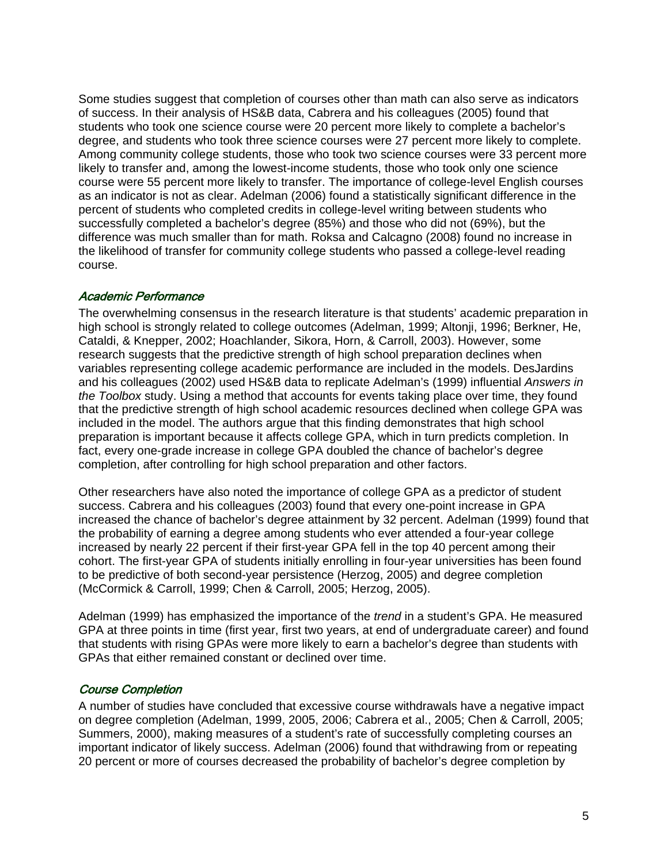Some studies suggest that completion of courses other than math can also serve as indicators of success. In their analysis of HS&B data, Cabrera and his colleagues (2005) found that students who took one science course were 20 percent more likely to complete a bachelor's degree, and students who took three science courses were 27 percent more likely to complete. Among community college students, those who took two science courses were 33 percent more likely to transfer and, among the lowest-income students, those who took only one science course were 55 percent more likely to transfer. The importance of college-level English courses as an indicator is not as clear. Adelman (2006) found a statistically significant difference in the percent of students who completed credits in college-level writing between students who successfully completed a bachelor's degree (85%) and those who did not (69%), but the difference was much smaller than for math. Roksa and Calcagno (2008) found no increase in the likelihood of transfer for community college students who passed a college-level reading course.

# Academic Performance

The overwhelming consensus in the research literature is that students' academic preparation in high school is strongly related to college outcomes (Adelman, 1999; Altonji, 1996; Berkner, He, Cataldi, & Knepper, 2002; Hoachlander, Sikora, Horn, & Carroll, 2003). However, some research suggests that the predictive strength of high school preparation declines when variables representing college academic performance are included in the models. DesJardins and his colleagues (2002) used HS&B data to replicate Adelman's (1999) influential *Answers in the Toolbox* study. Using a method that accounts for events taking place over time, they found that the predictive strength of high school academic resources declined when college GPA was included in the model. The authors argue that this finding demonstrates that high school preparation is important because it affects college GPA, which in turn predicts completion. In fact, every one-grade increase in college GPA doubled the chance of bachelor's degree completion, after controlling for high school preparation and other factors.

Other researchers have also noted the importance of college GPA as a predictor of student success. Cabrera and his colleagues (2003) found that every one-point increase in GPA increased the chance of bachelor's degree attainment by 32 percent. Adelman (1999) found that the probability of earning a degree among students who ever attended a four-year college increased by nearly 22 percent if their first-year GPA fell in the top 40 percent among their cohort. The first-year GPA of students initially enrolling in four-year universities has been found to be predictive of both second-year persistence (Herzog, 2005) and degree completion (McCormick & Carroll, 1999; Chen & Carroll, 2005; Herzog, 2005).

Adelman (1999) has emphasized the importance of the *trend* in a student's GPA. He measured GPA at three points in time (first year, first two years, at end of undergraduate career) and found that students with rising GPAs were more likely to earn a bachelor's degree than students with GPAs that either remained constant or declined over time.

# Course Completion

A number of studies have concluded that excessive course withdrawals have a negative impact on degree completion (Adelman, 1999, 2005, 2006; Cabrera et al., 2005; Chen & Carroll, 2005; Summers, 2000), making measures of a student's rate of successfully completing courses an important indicator of likely success. Adelman (2006) found that withdrawing from or repeating 20 percent or more of courses decreased the probability of bachelor's degree completion by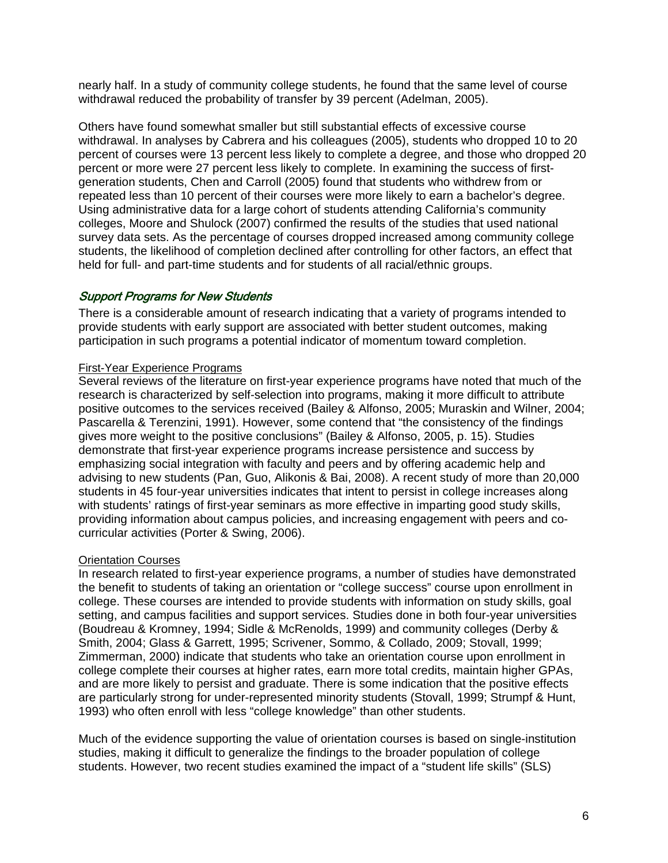nearly half. In a study of community college students, he found that the same level of course withdrawal reduced the probability of transfer by 39 percent (Adelman, 2005).

Others have found somewhat smaller but still substantial effects of excessive course withdrawal. In analyses by Cabrera and his colleagues (2005), students who dropped 10 to 20 percent of courses were 13 percent less likely to complete a degree, and those who dropped 20 percent or more were 27 percent less likely to complete. In examining the success of firstgeneration students, Chen and Carroll (2005) found that students who withdrew from or repeated less than 10 percent of their courses were more likely to earn a bachelor's degree. Using administrative data for a large cohort of students attending California's community colleges, Moore and Shulock (2007) confirmed the results of the studies that used national survey data sets. As the percentage of courses dropped increased among community college students, the likelihood of completion declined after controlling for other factors, an effect that held for full- and part-time students and for students of all racial/ethnic groups.

# Support Programs for New Students

There is a considerable amount of research indicating that a variety of programs intended to provide students with early support are associated with better student outcomes, making participation in such programs a potential indicator of momentum toward completion.

#### First-Year Experience Programs

Several reviews of the literature on first-year experience programs have noted that much of the research is characterized by self-selection into programs, making it more difficult to attribute positive outcomes to the services received (Bailey & Alfonso, 2005; Muraskin and Wilner, 2004; Pascarella & Terenzini, 1991). However, some contend that "the consistency of the findings gives more weight to the positive conclusions" (Bailey & Alfonso, 2005, p. 15). Studies demonstrate that first-year experience programs increase persistence and success by emphasizing social integration with faculty and peers and by offering academic help and advising to new students (Pan, Guo, Alikonis & Bai, 2008). A recent study of more than 20,000 students in 45 four-year universities indicates that intent to persist in college increases along with students' ratings of first-year seminars as more effective in imparting good study skills, providing information about campus policies, and increasing engagement with peers and cocurricular activities (Porter & Swing, 2006).

#### Orientation Courses

In research related to first-year experience programs, a number of studies have demonstrated the benefit to students of taking an orientation or "college success" course upon enrollment in college. These courses are intended to provide students with information on study skills, goal setting, and campus facilities and support services. Studies done in both four-year universities (Boudreau & Kromney, 1994; Sidle & McRenolds, 1999) and community colleges (Derby & Smith, 2004; Glass & Garrett, 1995; Scrivener, Sommo, & Collado, 2009; Stovall, 1999; Zimmerman, 2000) indicate that students who take an orientation course upon enrollment in college complete their courses at higher rates, earn more total credits, maintain higher GPAs, and are more likely to persist and graduate. There is some indication that the positive effects are particularly strong for under-represented minority students (Stovall, 1999; Strumpf & Hunt, 1993) who often enroll with less "college knowledge" than other students.

Much of the evidence supporting the value of orientation courses is based on single-institution studies, making it difficult to generalize the findings to the broader population of college students. However, two recent studies examined the impact of a "student life skills" (SLS)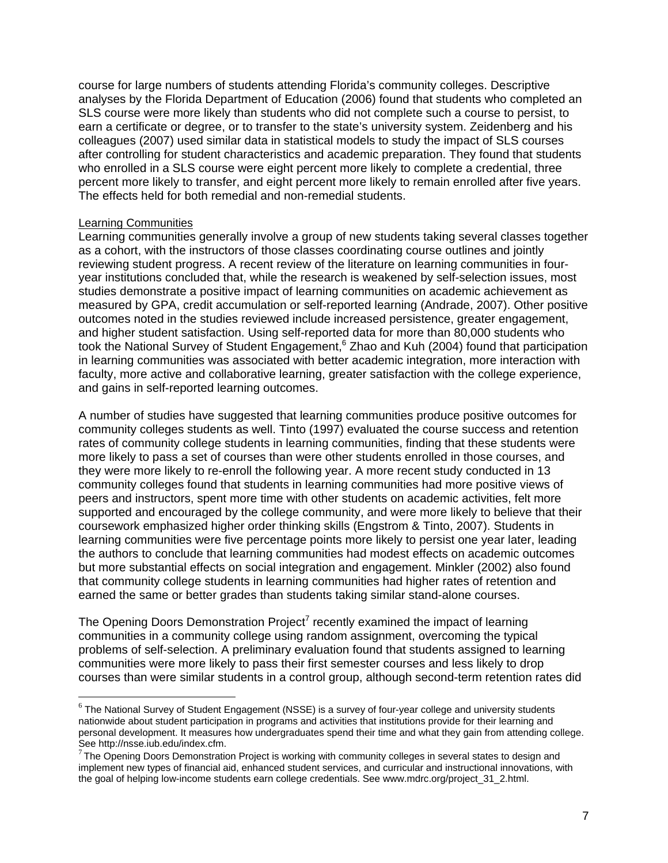course for large numbers of students attending Florida's community colleges. Descriptive analyses by the Florida Department of Education (2006) found that students who completed an SLS course were more likely than students who did not complete such a course to persist, to earn a certificate or degree, or to transfer to the state's university system. Zeidenberg and his colleagues (2007) used similar data in statistical models to study the impact of SLS courses after controlling for student characteristics and academic preparation. They found that students who enrolled in a SLS course were eight percent more likely to complete a credential, three percent more likely to transfer, and eight percent more likely to remain enrolled after five years. The effects held for both remedial and non-remedial students.

#### Learning Communities

 $\overline{a}$ 

Learning communities generally involve a group of new students taking several classes together as a cohort, with the instructors of those classes coordinating course outlines and jointly reviewing student progress. A recent review of the literature on learning communities in fouryear institutions concluded that, while the research is weakened by self-selection issues, most studies demonstrate a positive impact of learning communities on academic achievement as measured by GPA, credit accumulation or self-reported learning (Andrade, 2007). Other positive outcomes noted in the studies reviewed include increased persistence, greater engagement, and higher student satisfaction. Using self-reported data for more than 80,000 students who took the National Survey of Student Engagement,<sup>6</sup> Zhao and Kuh (2004) found that participation in learning communities was associated with better academic integration, more interaction with faculty, more active and collaborative learning, greater satisfaction with the college experience, and gains in self-reported learning outcomes.

A number of studies have suggested that learning communities produce positive outcomes for community colleges students as well. Tinto (1997) evaluated the course success and retention rates of community college students in learning communities, finding that these students were more likely to pass a set of courses than were other students enrolled in those courses, and they were more likely to re-enroll the following year. A more recent study conducted in 13 community colleges found that students in learning communities had more positive views of peers and instructors, spent more time with other students on academic activities, felt more supported and encouraged by the college community, and were more likely to believe that their coursework emphasized higher order thinking skills (Engstrom & Tinto, 2007). Students in learning communities were five percentage points more likely to persist one year later, leading the authors to conclude that learning communities had modest effects on academic outcomes but more substantial effects on social integration and engagement. Minkler (2002) also found that community college students in learning communities had higher rates of retention and earned the same or better grades than students taking similar stand-alone courses.

The Opening Doors Demonstration Project<sup>7</sup> recently examined the impact of learning communities in a community college using random assignment, overcoming the typical problems of self-selection. A preliminary evaluation found that students assigned to learning communities were more likely to pass their first semester courses and less likely to drop courses than were similar students in a control group, although second-term retention rates did

 $6$  The National Survey of Student Engagement (NSSE) is a survey of four-year college and university students nationwide about student participation in programs and activities that institutions provide for their learning and personal development. It measures how undergraduates spend their time and what they gain from attending college.<br>See http://nsse.iub.edu/index.cfm.

 $\mathrm{^{7}}$ The Opening Doors Demonstration Project is working with community colleges in several states to design and implement new types of financial aid, enhanced student services, and curricular and instructional innovations, with the goal of helping low-income students earn college credentials. See www.mdrc.org/project\_31\_2.html.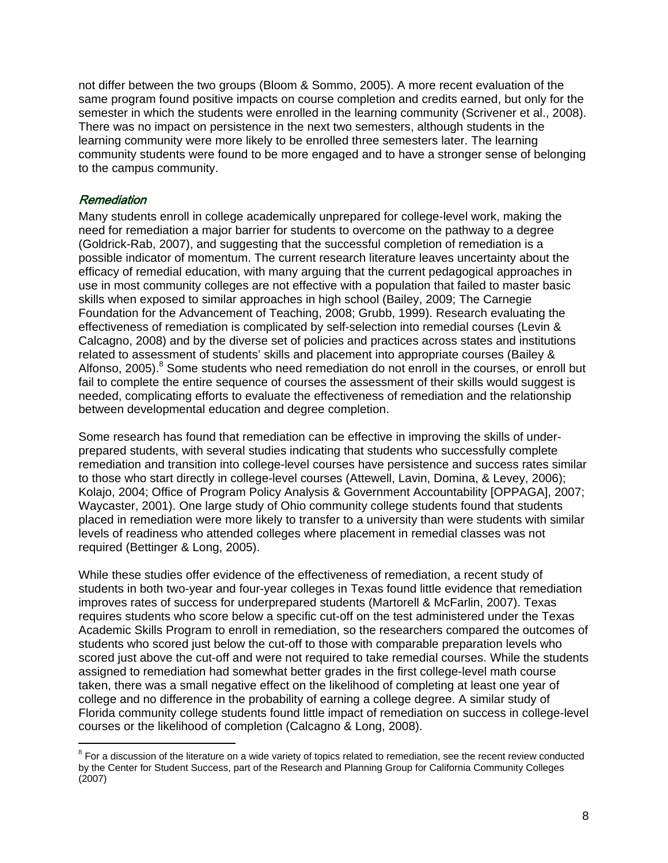not differ between the two groups (Bloom & Sommo, 2005). A more recent evaluation of the same program found positive impacts on course completion and credits earned, but only for the semester in which the students were enrolled in the learning community (Scrivener et al., 2008). There was no impact on persistence in the next two semesters, although students in the learning community were more likely to be enrolled three semesters later. The learning community students were found to be more engaged and to have a stronger sense of belonging to the campus community.

# Remediation

 $\overline{a}$ 

Many students enroll in college academically unprepared for college-level work, making the need for remediation a major barrier for students to overcome on the pathway to a degree (Goldrick-Rab, 2007), and suggesting that the successful completion of remediation is a possible indicator of momentum. The current research literature leaves uncertainty about the efficacy of remedial education, with many arguing that the current pedagogical approaches in use in most community colleges are not effective with a population that failed to master basic skills when exposed to similar approaches in high school (Bailey, 2009; The Carnegie Foundation for the Advancement of Teaching, 2008; Grubb, 1999). Research evaluating the effectiveness of remediation is complicated by self-selection into remedial courses (Levin & Calcagno, 2008) and by the diverse set of policies and practices across states and institutions related to assessment of students' skills and placement into appropriate courses (Bailey & Alfonso, 2005).<sup>8</sup> Some students who need remediation do not enroll in the courses, or enroll but fail to complete the entire sequence of courses the assessment of their skills would suggest is needed, complicating efforts to evaluate the effectiveness of remediation and the relationship between developmental education and degree completion.

Some research has found that remediation can be effective in improving the skills of underprepared students, with several studies indicating that students who successfully complete remediation and transition into college-level courses have persistence and success rates similar to those who start directly in college-level courses (Attewell, Lavin, Domina, & Levey, 2006); Kolajo, 2004; Office of Program Policy Analysis & Government Accountability [OPPAGA], 2007; Waycaster, 2001). One large study of Ohio community college students found that students placed in remediation were more likely to transfer to a university than were students with similar levels of readiness who attended colleges where placement in remedial classes was not required (Bettinger & Long, 2005).

While these studies offer evidence of the effectiveness of remediation, a recent study of students in both two-year and four-year colleges in Texas found little evidence that remediation improves rates of success for underprepared students (Martorell & McFarlin, 2007). Texas requires students who score below a specific cut-off on the test administered under the Texas Academic Skills Program to enroll in remediation, so the researchers compared the outcomes of students who scored just below the cut-off to those with comparable preparation levels who scored just above the cut-off and were not required to take remedial courses. While the students assigned to remediation had somewhat better grades in the first college-level math course taken, there was a small negative effect on the likelihood of completing at least one year of college and no difference in the probability of earning a college degree. A similar study of Florida community college students found little impact of remediation on success in college-level courses or the likelihood of completion (Calcagno & Long, 2008).

 $8$  For a discussion of the literature on a wide variety of topics related to remediation, see the recent review conducted by the Center for Student Success, part of the Research and Planning Group for California Community Colleges (2007)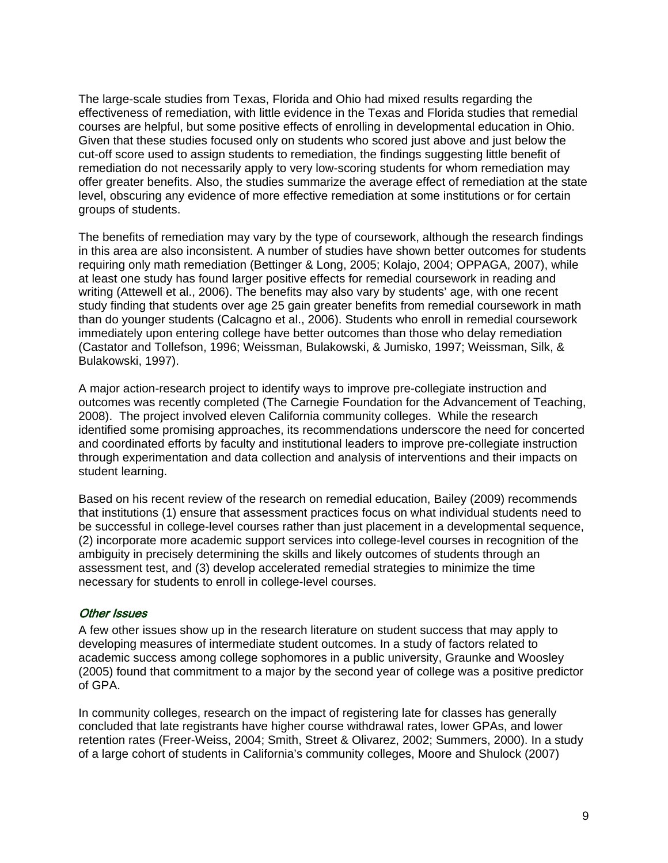The large-scale studies from Texas, Florida and Ohio had mixed results regarding the effectiveness of remediation, with little evidence in the Texas and Florida studies that remedial courses are helpful, but some positive effects of enrolling in developmental education in Ohio. Given that these studies focused only on students who scored just above and just below the cut-off score used to assign students to remediation, the findings suggesting little benefit of remediation do not necessarily apply to very low-scoring students for whom remediation may offer greater benefits. Also, the studies summarize the average effect of remediation at the state level, obscuring any evidence of more effective remediation at some institutions or for certain groups of students.

The benefits of remediation may vary by the type of coursework, although the research findings in this area are also inconsistent. A number of studies have shown better outcomes for students requiring only math remediation (Bettinger & Long, 2005; Kolajo, 2004; OPPAGA, 2007), while at least one study has found larger positive effects for remedial coursework in reading and writing (Attewell et al., 2006). The benefits may also vary by students' age, with one recent study finding that students over age 25 gain greater benefits from remedial coursework in math than do younger students (Calcagno et al., 2006). Students who enroll in remedial coursework immediately upon entering college have better outcomes than those who delay remediation (Castator and Tollefson, 1996; Weissman, Bulakowski, & Jumisko, 1997; Weissman, Silk, & Bulakowski, 1997).

A major action-research project to identify ways to improve pre-collegiate instruction and outcomes was recently completed (The Carnegie Foundation for the Advancement of Teaching, 2008). The project involved eleven California community colleges. While the research identified some promising approaches, its recommendations underscore the need for concerted and coordinated efforts by faculty and institutional leaders to improve pre-collegiate instruction through experimentation and data collection and analysis of interventions and their impacts on student learning.

Based on his recent review of the research on remedial education, Bailey (2009) recommends that institutions (1) ensure that assessment practices focus on what individual students need to be successful in college-level courses rather than just placement in a developmental sequence, (2) incorporate more academic support services into college-level courses in recognition of the ambiguity in precisely determining the skills and likely outcomes of students through an assessment test, and (3) develop accelerated remedial strategies to minimize the time necessary for students to enroll in college-level courses.

# Other Issues

A few other issues show up in the research literature on student success that may apply to developing measures of intermediate student outcomes. In a study of factors related to academic success among college sophomores in a public university, Graunke and Woosley (2005) found that commitment to a major by the second year of college was a positive predictor of GPA.

In community colleges, research on the impact of registering late for classes has generally concluded that late registrants have higher course withdrawal rates, lower GPAs, and lower retention rates (Freer-Weiss, 2004; Smith, Street & Olivarez, 2002; Summers, 2000). In a study of a large cohort of students in California's community colleges, Moore and Shulock (2007)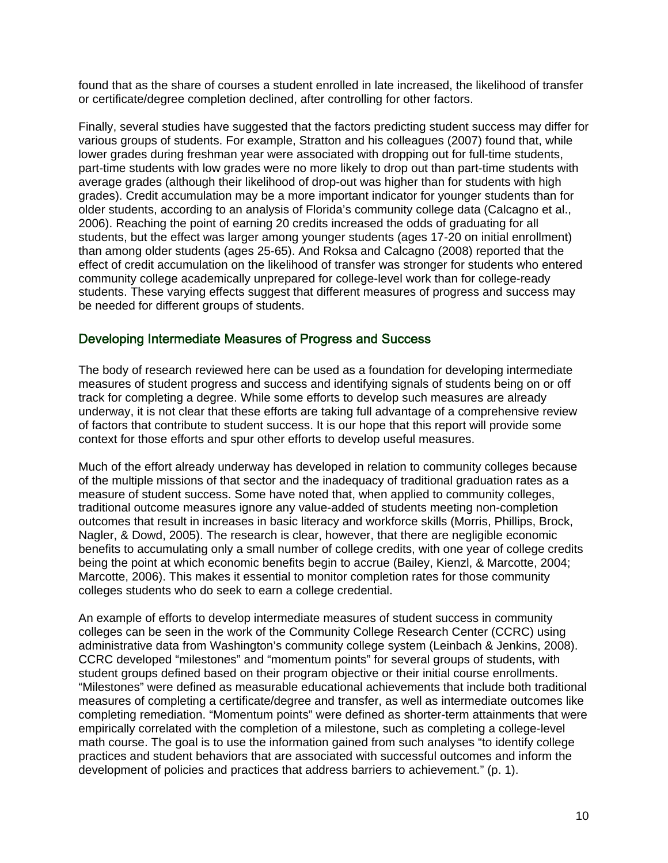found that as the share of courses a student enrolled in late increased, the likelihood of transfer or certificate/degree completion declined, after controlling for other factors.

Finally, several studies have suggested that the factors predicting student success may differ for various groups of students. For example, Stratton and his colleagues (2007) found that, while lower grades during freshman year were associated with dropping out for full-time students, part-time students with low grades were no more likely to drop out than part-time students with average grades (although their likelihood of drop-out was higher than for students with high grades). Credit accumulation may be a more important indicator for younger students than for older students, according to an analysis of Florida's community college data (Calcagno et al., 2006). Reaching the point of earning 20 credits increased the odds of graduating for all students, but the effect was larger among younger students (ages 17-20 on initial enrollment) than among older students (ages 25-65). And Roksa and Calcagno (2008) reported that the effect of credit accumulation on the likelihood of transfer was stronger for students who entered community college academically unprepared for college-level work than for college-ready students. These varying effects suggest that different measures of progress and success may be needed for different groups of students.

# Developing Intermediate Measures of Progress and Success

The body of research reviewed here can be used as a foundation for developing intermediate measures of student progress and success and identifying signals of students being on or off track for completing a degree. While some efforts to develop such measures are already underway, it is not clear that these efforts are taking full advantage of a comprehensive review of factors that contribute to student success. It is our hope that this report will provide some context for those efforts and spur other efforts to develop useful measures.

Much of the effort already underway has developed in relation to community colleges because of the multiple missions of that sector and the inadequacy of traditional graduation rates as a measure of student success. Some have noted that, when applied to community colleges, traditional outcome measures ignore any value-added of students meeting non-completion outcomes that result in increases in basic literacy and workforce skills (Morris, Phillips, Brock, Nagler, & Dowd, 2005). The research is clear, however, that there are negligible economic benefits to accumulating only a small number of college credits, with one year of college credits being the point at which economic benefits begin to accrue (Bailey, Kienzl, & Marcotte, 2004; Marcotte, 2006). This makes it essential to monitor completion rates for those community colleges students who do seek to earn a college credential.

An example of efforts to develop intermediate measures of student success in community colleges can be seen in the work of the Community College Research Center (CCRC) using administrative data from Washington's community college system (Leinbach & Jenkins, 2008). CCRC developed "milestones" and "momentum points" for several groups of students, with student groups defined based on their program objective or their initial course enrollments. "Milestones" were defined as measurable educational achievements that include both traditional measures of completing a certificate/degree and transfer, as well as intermediate outcomes like completing remediation. "Momentum points" were defined as shorter-term attainments that were empirically correlated with the completion of a milestone, such as completing a college-level math course. The goal is to use the information gained from such analyses "to identify college practices and student behaviors that are associated with successful outcomes and inform the development of policies and practices that address barriers to achievement." (p. 1).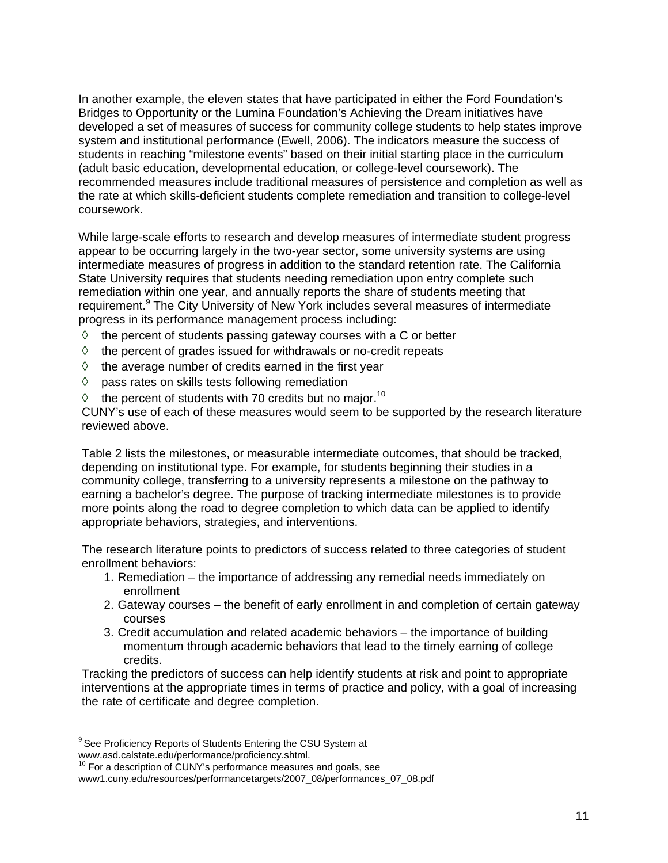In another example, the eleven states that have participated in either the Ford Foundation's Bridges to Opportunity or the Lumina Foundation's Achieving the Dream initiatives have developed a set of measures of success for community college students to help states improve system and institutional performance (Ewell, 2006). The indicators measure the success of students in reaching "milestone events" based on their initial starting place in the curriculum (adult basic education, developmental education, or college-level coursework). The recommended measures include traditional measures of persistence and completion as well as the rate at which skills-deficient students complete remediation and transition to college-level coursework.

While large-scale efforts to research and develop measures of intermediate student progress appear to be occurring largely in the two-year sector, some university systems are using intermediate measures of progress in addition to the standard retention rate. The California State University requires that students needing remediation upon entry complete such remediation within one year, and annually reports the share of students meeting that requirement.<sup>9</sup> The City University of New York includes several measures of intermediate progress in its performance management process including:

- $\Diamond$  the percent of students passing gateway courses with a C or better
- $\Diamond$  the percent of grades issued for withdrawals or no-credit repeats
- $\Diamond$  the average number of credits earned in the first year
- $\Diamond$  pass rates on skills tests following remediation
- $\lozenge$  the percent of students with 70 credits but no major.<sup>10</sup>

CUNY's use of each of these measures would seem to be supported by the research literature reviewed above.

Table 2 lists the milestones, or measurable intermediate outcomes, that should be tracked, depending on institutional type. For example, for students beginning their studies in a community college, transferring to a university represents a milestone on the pathway to earning a bachelor's degree. The purpose of tracking intermediate milestones is to provide more points along the road to degree completion to which data can be applied to identify appropriate behaviors, strategies, and interventions.

The research literature points to predictors of success related to three categories of student enrollment behaviors:

- 1. Remediation the importance of addressing any remedial needs immediately on enrollment
- 2. Gateway courses the benefit of early enrollment in and completion of certain gateway courses
- 3. Credit accumulation and related academic behaviors the importance of building momentum through academic behaviors that lead to the timely earning of college credits.

Tracking the predictors of success can help identify students at risk and point to appropriate interventions at the appropriate times in terms of practice and policy, with a goal of increasing the rate of certificate and degree completion.

 $\overline{a}$ 

 $9$  See Proficiency Reports of Students Entering the CSU System at www.asd.calstate.edu/performance/proficiency.shtml.

 $10$  For a description of CUNY's performance measures and goals, see

www1.cuny.edu/resources/performancetargets/2007\_08/performances\_07\_08.pdf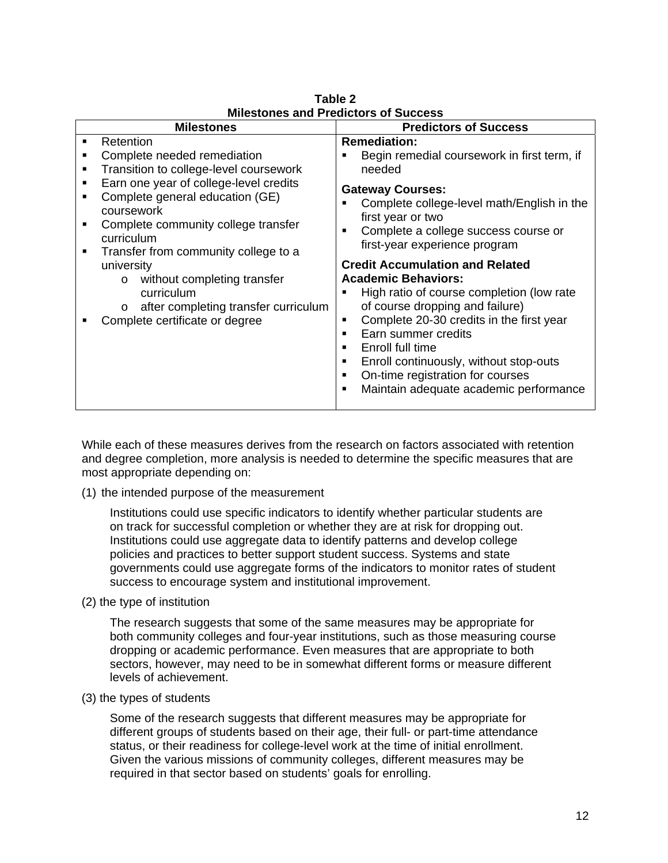| MIIGSLUIGS ANU I TGUILLUIS UI JULLESS                                                                                                                                                                                                                                                                                                                                                                                                                                       |                                                                                                                                                                                                                                                                                                                                                                                                                                                                                                                                                                                                                                 |  |  |  |
|-----------------------------------------------------------------------------------------------------------------------------------------------------------------------------------------------------------------------------------------------------------------------------------------------------------------------------------------------------------------------------------------------------------------------------------------------------------------------------|---------------------------------------------------------------------------------------------------------------------------------------------------------------------------------------------------------------------------------------------------------------------------------------------------------------------------------------------------------------------------------------------------------------------------------------------------------------------------------------------------------------------------------------------------------------------------------------------------------------------------------|--|--|--|
| <b>Milestones</b>                                                                                                                                                                                                                                                                                                                                                                                                                                                           | <b>Predictors of Success</b>                                                                                                                                                                                                                                                                                                                                                                                                                                                                                                                                                                                                    |  |  |  |
| Retention<br>$\blacksquare$<br>Complete needed remediation<br>Transition to college-level coursework<br>Earn one year of college-level credits<br>п<br>Complete general education (GE)<br>п<br>coursework<br>Complete community college transfer<br>п<br>curriculum<br>Transfer from community college to a<br>٠<br>university<br>without completing transfer<br>$\circ$<br>curriculum<br>after completing transfer curriculum<br>$\circ$<br>Complete certificate or degree | <b>Remediation:</b><br>Begin remedial coursework in first term, if<br>needed<br><b>Gateway Courses:</b><br>Complete college-level math/English in the<br>first year or two<br>Complete a college success course or<br>first-year experience program<br><b>Credit Accumulation and Related</b><br><b>Academic Behaviors:</b><br>High ratio of course completion (low rate<br>of course dropping and failure)<br>Complete 20-30 credits in the first year<br>п<br>Earn summer credits<br>Enroll full time<br>Enroll continuously, without stop-outs<br>On-time registration for courses<br>Maintain adequate academic performance |  |  |  |

**Table 2 Milestones and Predictors of Success** 

While each of these measures derives from the research on factors associated with retention and degree completion, more analysis is needed to determine the specific measures that are most appropriate depending on:

(1) the intended purpose of the measurement

Institutions could use specific indicators to identify whether particular students are on track for successful completion or whether they are at risk for dropping out. Institutions could use aggregate data to identify patterns and develop college policies and practices to better support student success. Systems and state governments could use aggregate forms of the indicators to monitor rates of student success to encourage system and institutional improvement.

(2) the type of institution

The research suggests that some of the same measures may be appropriate for both community colleges and four-year institutions, such as those measuring course dropping or academic performance. Even measures that are appropriate to both sectors, however, may need to be in somewhat different forms or measure different levels of achievement.

(3) the types of students

Some of the research suggests that different measures may be appropriate for different groups of students based on their age, their full- or part-time attendance status, or their readiness for college-level work at the time of initial enrollment. Given the various missions of community colleges, different measures may be required in that sector based on students' goals for enrolling.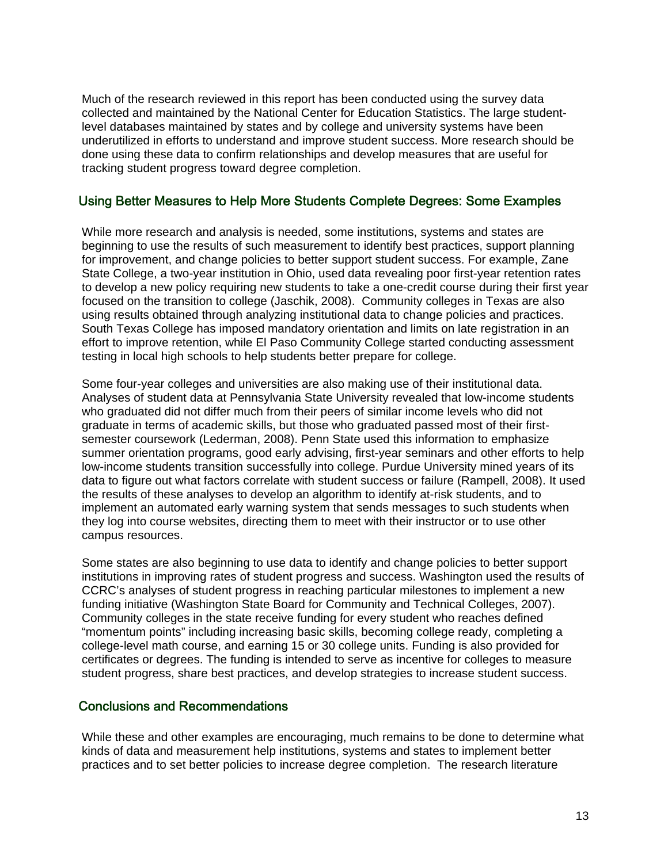Much of the research reviewed in this report has been conducted using the survey data collected and maintained by the National Center for Education Statistics. The large studentlevel databases maintained by states and by college and university systems have been underutilized in efforts to understand and improve student success. More research should be done using these data to confirm relationships and develop measures that are useful for tracking student progress toward degree completion.

# Using Better Measures to Help More Students Complete Degrees: Some Examples

While more research and analysis is needed, some institutions, systems and states are beginning to use the results of such measurement to identify best practices, support planning for improvement, and change policies to better support student success. For example, Zane State College, a two-year institution in Ohio, used data revealing poor first-year retention rates to develop a new policy requiring new students to take a one-credit course during their first year focused on the transition to college (Jaschik, 2008). Community colleges in Texas are also using results obtained through analyzing institutional data to change policies and practices. South Texas College has imposed mandatory orientation and limits on late registration in an effort to improve retention, while El Paso Community College started conducting assessment testing in local high schools to help students better prepare for college.

Some four-year colleges and universities are also making use of their institutional data. Analyses of student data at Pennsylvania State University revealed that low-income students who graduated did not differ much from their peers of similar income levels who did not graduate in terms of academic skills, but those who graduated passed most of their firstsemester coursework (Lederman, 2008). Penn State used this information to emphasize summer orientation programs, good early advising, first-year seminars and other efforts to help low-income students transition successfully into college. Purdue University mined years of its data to figure out what factors correlate with student success or failure (Rampell, 2008). It used the results of these analyses to develop an algorithm to identify at-risk students, and to implement an automated early warning system that sends messages to such students when they log into course websites, directing them to meet with their instructor or to use other campus resources.

Some states are also beginning to use data to identify and change policies to better support institutions in improving rates of student progress and success. Washington used the results of CCRC's analyses of student progress in reaching particular milestones to implement a new funding initiative (Washington State Board for Community and Technical Colleges, 2007). Community colleges in the state receive funding for every student who reaches defined "momentum points" including increasing basic skills, becoming college ready, completing a college-level math course, and earning 15 or 30 college units. Funding is also provided for certificates or degrees. The funding is intended to serve as incentive for colleges to measure student progress, share best practices, and develop strategies to increase student success.

# Conclusions and Recommendations

While these and other examples are encouraging, much remains to be done to determine what kinds of data and measurement help institutions, systems and states to implement better practices and to set better policies to increase degree completion. The research literature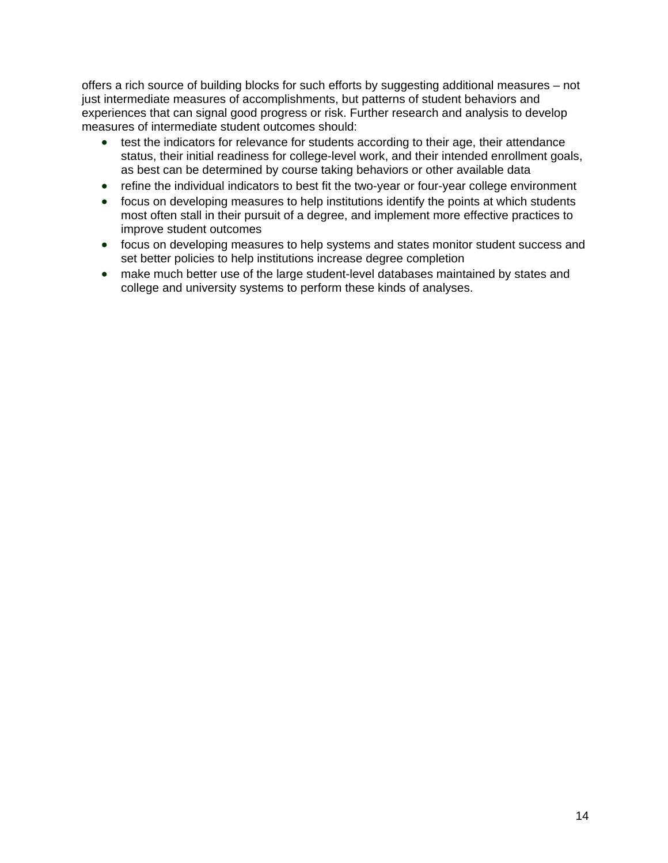offers a rich source of building blocks for such efforts by suggesting additional measures – not just intermediate measures of accomplishments, but patterns of student behaviors and experiences that can signal good progress or risk. Further research and analysis to develop measures of intermediate student outcomes should:

- test the indicators for relevance for students according to their age, their attendance status, their initial readiness for college-level work, and their intended enrollment goals, as best can be determined by course taking behaviors or other available data
- refine the individual indicators to best fit the two-year or four-year college environment
- focus on developing measures to help institutions identify the points at which students most often stall in their pursuit of a degree, and implement more effective practices to improve student outcomes
- focus on developing measures to help systems and states monitor student success and set better policies to help institutions increase degree completion
- make much better use of the large student-level databases maintained by states and college and university systems to perform these kinds of analyses.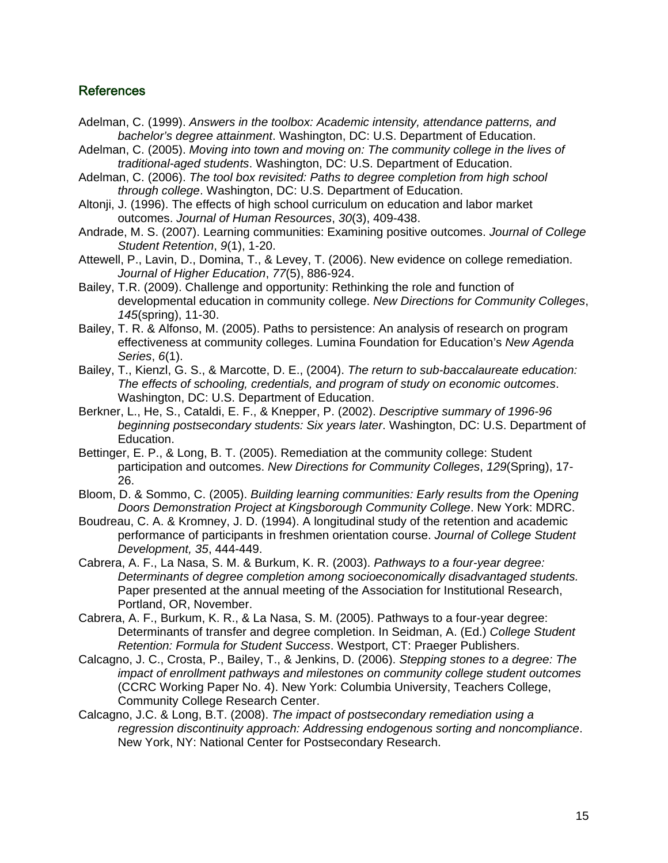# References

- Adelman, C. (1999). *Answers in the toolbox: Academic intensity, attendance patterns, and bachelor's degree attainment*. Washington, DC: U.S. Department of Education.
- Adelman, C. (2005). *Moving into town and moving on: The community college in the lives of traditional-aged students*. Washington, DC: U.S. Department of Education.
- Adelman, C. (2006). *The tool box revisited: Paths to degree completion from high school through college*. Washington, DC: U.S. Department of Education.
- Altonji, J. (1996). The effects of high school curriculum on education and labor market outcomes. *Journal of Human Resources*, *30*(3), 409-438.
- Andrade, M. S. (2007). Learning communities: Examining positive outcomes. *Journal of College Student Retention*, *9*(1), 1-20.
- Attewell, P., Lavin, D., Domina, T., & Levey, T. (2006). New evidence on college remediation. *Journal of Higher Education*, *77*(5), 886-924.
- Bailey, T.R. (2009). Challenge and opportunity: Rethinking the role and function of developmental education in community college. *New Directions for Community Colleges*, *145*(spring), 11-30.
- Bailey, T. R. & Alfonso, M. (2005). Paths to persistence: An analysis of research on program effectiveness at community colleges. Lumina Foundation for Education's *New Agenda Series*, *6*(1).
- Bailey, T., Kienzl, G. S., & Marcotte, D. E., (2004). *The return to sub-baccalaureate education: The effects of schooling, credentials, and program of study on economic outcomes*. Washington, DC: U.S. Department of Education.
- Berkner, L., He, S., Cataldi, E. F., & Knepper, P. (2002). *Descriptive summary of 1996-96 beginning postsecondary students: Six years later*. Washington, DC: U.S. Department of Education.
- Bettinger, E. P., & Long, B. T. (2005). Remediation at the community college: Student participation and outcomes. *New Directions for Community Colleges*, *129*(Spring), 17- 26.
- Bloom, D. & Sommo, C. (2005). *Building learning communities: Early results from the Opening Doors Demonstration Project at Kingsborough Community College*. New York: MDRC.
- Boudreau, C. A. & Kromney, J. D. (1994). A longitudinal study of the retention and academic performance of participants in freshmen orientation course. *Journal of College Student Development, 35*, 444-449.
- Cabrera, A. F., La Nasa, S. M. & Burkum, K. R. (2003). *Pathways to a four-year degree: Determinants of degree completion among socioeconomically disadvantaged students.* Paper presented at the annual meeting of the Association for Institutional Research, Portland, OR, November.
- Cabrera, A. F., Burkum, K. R., & La Nasa, S. M. (2005). Pathways to a four-year degree: Determinants of transfer and degree completion. In Seidman, A. (Ed.) *College Student Retention: Formula for Student Success*. Westport, CT: Praeger Publishers.
- Calcagno, J. C., Crosta, P., Bailey, T., & Jenkins, D. (2006). *Stepping stones to a degree: The impact of enrollment pathways and milestones on community college student outcomes* (CCRC Working Paper No. 4). New York: Columbia University, Teachers College, Community College Research Center.
- Calcagno, J.C. & Long, B.T. (2008). *The impact of postsecondary remediation using a regression discontinuity approach: Addressing endogenous sorting and noncompliance*. New York, NY: National Center for Postsecondary Research.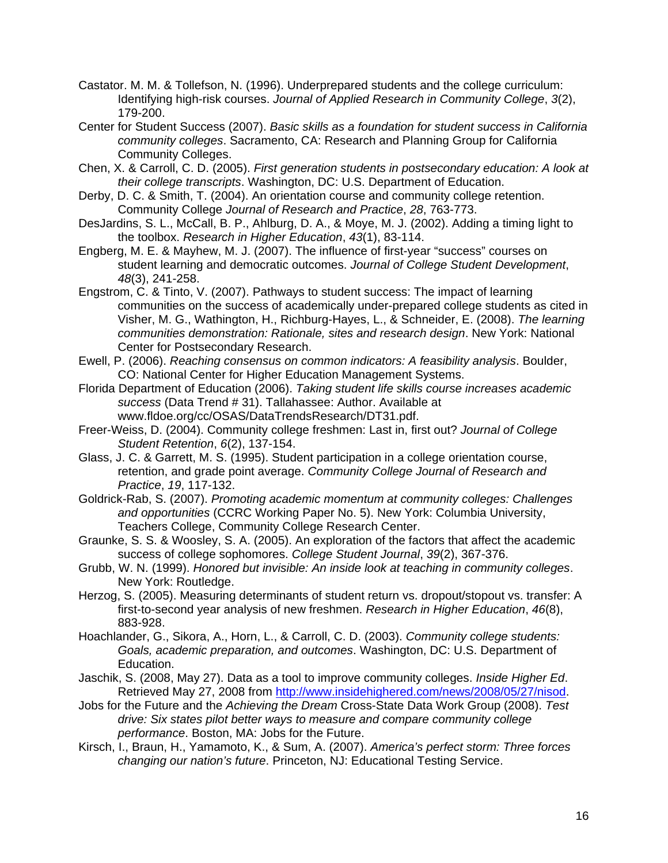- Castator. M. M. & Tollefson, N. (1996). Underprepared students and the college curriculum: Identifying high-risk courses. *Journal of Applied Research in Community College*, *3*(2), 179-200.
- Center for Student Success (2007). *Basic skills as a foundation for student success in California community colleges*. Sacramento, CA: Research and Planning Group for California Community Colleges.
- Chen, X. & Carroll, C. D. (2005). *First generation students in postsecondary education: A look at their college transcripts*. Washington, DC: U.S. Department of Education.
- Derby, D. C. & Smith, T. (2004). An orientation course and community college retention. Community College *Journal of Research and Practice*, *28*, 763-773.
- DesJardins, S. L., McCall, B. P., Ahlburg, D. A., & Moye, M. J. (2002). Adding a timing light to the toolbox. *Research in Higher Education*, *43*(1), 83-114.
- Engberg, M. E. & Mayhew, M. J. (2007). The influence of first-year "success" courses on student learning and democratic outcomes. *Journal of College Student Development*, *48*(3), 241-258.
- Engstrom, C. & Tinto, V. (2007). Pathways to student success: The impact of learning communities on the success of academically under-prepared college students as cited in Visher, M. G., Wathington, H., Richburg-Hayes, L., & Schneider, E. (2008). *The learning communities demonstration: Rationale, sites and research design*. New York: National Center for Postsecondary Research.
- Ewell, P. (2006). *Reaching consensus on common indicators: A feasibility analysis*. Boulder, CO: National Center for Higher Education Management Systems.
- Florida Department of Education (2006). *Taking student life skills course increases academic success* (Data Trend # 31). Tallahassee: Author. Available at www.fldoe.org/cc/OSAS/DataTrendsResearch/DT31.pdf.
- Freer-Weiss, D. (2004). Community college freshmen: Last in, first out? *Journal of College Student Retention*, *6*(2), 137-154.
- Glass, J. C. & Garrett, M. S. (1995). Student participation in a college orientation course, retention, and grade point average. *Community College Journal of Research and Practice*, *19*, 117-132.
- Goldrick-Rab, S. (2007). *Promoting academic momentum at community colleges: Challenges and opportunities* (CCRC Working Paper No. 5). New York: Columbia University, Teachers College, Community College Research Center.
- Graunke, S. S. & Woosley, S. A. (2005). An exploration of the factors that affect the academic success of college sophomores. *College Student Journal*, *39*(2), 367-376.
- Grubb, W. N. (1999). *Honored but invisible: An inside look at teaching in community colleges*. New York: Routledge.
- Herzog, S. (2005). Measuring determinants of student return vs. dropout/stopout vs. transfer: A first-to-second year analysis of new freshmen. *Research in Higher Education*, *46*(8), 883-928.
- Hoachlander, G., Sikora, A., Horn, L., & Carroll, C. D. (2003). *Community college students: Goals, academic preparation, and outcomes*. Washington, DC: U.S. Department of Education.
- Jaschik, S. (2008, May 27). Data as a tool to improve community colleges. *Inside Higher Ed*. Retrieved May 27, 2008 from http://www.insidehighered.com/news/2008/05/27/nisod.
- Jobs for the Future and the *Achieving the Dream* Cross-State Data Work Group (2008). *Test drive: Six states pilot better ways to measure and compare community college performance*. Boston, MA: Jobs for the Future.
- Kirsch, I., Braun, H., Yamamoto, K., & Sum, A. (2007). *America's perfect storm: Three forces changing our nation's future*. Princeton, NJ: Educational Testing Service.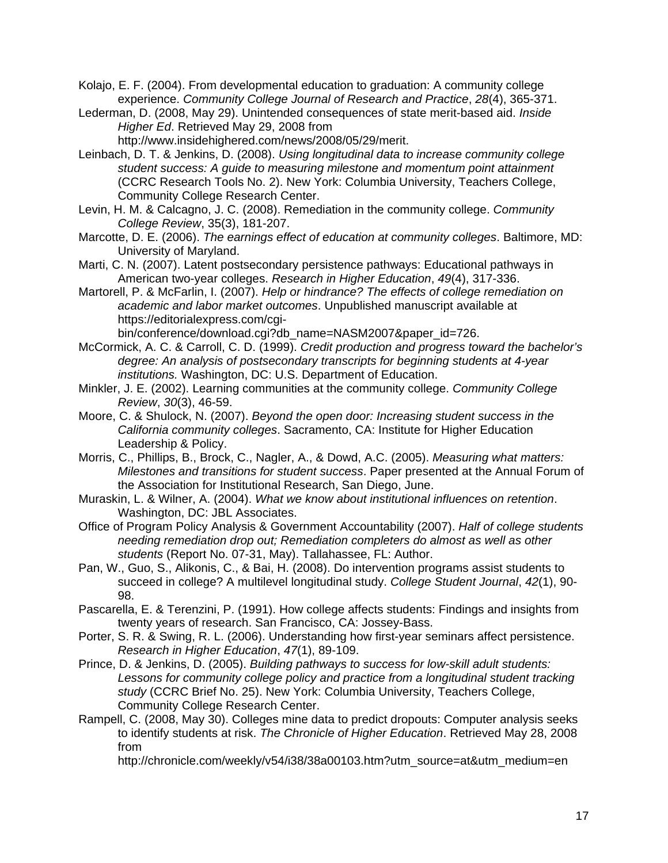Kolajo, E. F. (2004). From developmental education to graduation: A community college experience. *Community College Journal of Research and Practice*, *28*(4), 365-371.

Lederman, D. (2008, May 29). Unintended consequences of state merit-based aid. *Inside Higher Ed*. Retrieved May 29, 2008 from

http://www.insidehighered.com/news/2008/05/29/merit.

- Leinbach, D. T. & Jenkins, D. (2008). *Using longitudinal data to increase community college student success: A guide to measuring milestone and momentum point attainment* (CCRC Research Tools No. 2). New York: Columbia University, Teachers College, Community College Research Center.
- Levin, H. M. & Calcagno, J. C. (2008). Remediation in the community college. *Community College Review*, 35(3), 181-207.
- Marcotte, D. E. (2006). *The earnings effect of education at community colleges*. Baltimore, MD: University of Maryland.
- Marti, C. N. (2007). Latent postsecondary persistence pathways: Educational pathways in American two-year colleges. *Research in Higher Education*, *49*(4), 317-336.
- Martorell, P. & McFarlin, I. (2007). *Help or hindrance? The effects of college remediation on academic and labor market outcomes*. Unpublished manuscript available at https://editorialexpress.com/cgi-

bin/conference/download.cgi?db\_name=NASM2007&paper\_id=726.

- McCormick, A. C. & Carroll, C. D. (1999). *Credit production and progress toward the bachelor's degree: An analysis of postsecondary transcripts for beginning students at 4-year institutions.* Washington, DC: U.S. Department of Education.
- Minkler, J. E. (2002). Learning communities at the community college. *Community College Review*, *30*(3), 46-59.
- Moore, C. & Shulock, N. (2007). *Beyond the open door: Increasing student success in the California community colleges*. Sacramento, CA: Institute for Higher Education Leadership & Policy.
- Morris, C., Phillips, B., Brock, C., Nagler, A., & Dowd, A.C. (2005). *Measuring what matters: Milestones and transitions for student success*. Paper presented at the Annual Forum of the Association for Institutional Research, San Diego, June.
- Muraskin, L. & Wilner, A. (2004). *What we know about institutional influences on retention*. Washington, DC: JBL Associates.
- Office of Program Policy Analysis & Government Accountability (2007). *Half of college students needing remediation drop out; Remediation completers do almost as well as other students* (Report No. 07-31, May). Tallahassee, FL: Author.
- Pan, W., Guo, S., Alikonis, C., & Bai, H. (2008). Do intervention programs assist students to succeed in college? A multilevel longitudinal study. *College Student Journal*, *42*(1), 90- 98.
- Pascarella, E. & Terenzini, P. (1991). How college affects students: Findings and insights from twenty years of research. San Francisco, CA: Jossey-Bass.
- Porter, S. R. & Swing, R. L. (2006). Understanding how first-year seminars affect persistence. *Research in Higher Education*, *47*(1), 89-109.
- Prince, D. & Jenkins, D. (2005). *Building pathways to success for low-skill adult students: Lessons for community college policy and practice from a longitudinal student tracking study* (CCRC Brief No. 25). New York: Columbia University, Teachers College, Community College Research Center.
- Rampell, C. (2008, May 30). Colleges mine data to predict dropouts: Computer analysis seeks to identify students at risk. *The Chronicle of Higher Education*. Retrieved May 28, 2008 from

http://chronicle.com/weekly/v54/i38/38a00103.htm?utm\_source=at&utm\_medium=en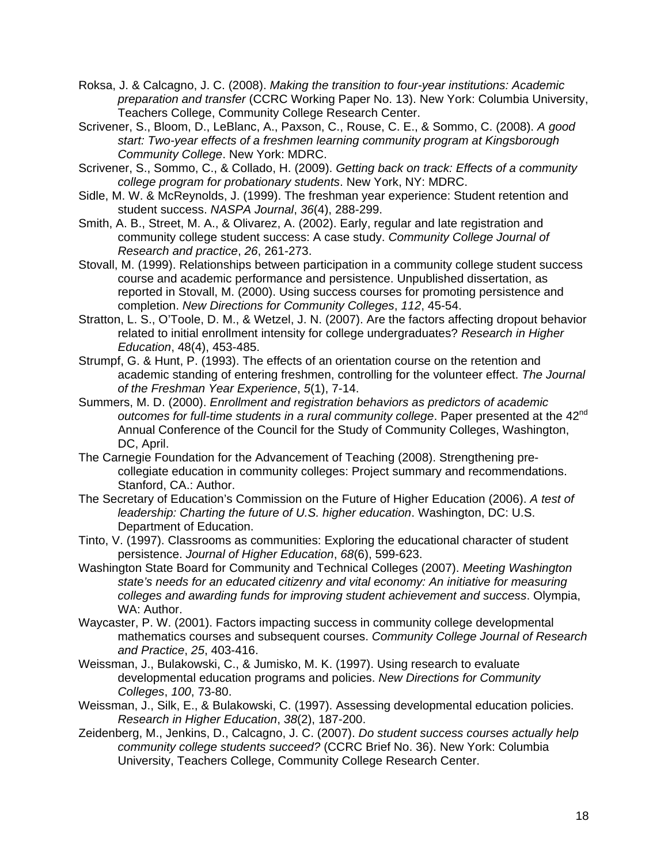- Roksa, J. & Calcagno, J. C. (2008). *Making the transition to four-year institutions: Academic preparation and transfer* (CCRC Working Paper No. 13). New York: Columbia University, Teachers College, Community College Research Center.
- Scrivener, S., Bloom, D., LeBlanc, A., Paxson, C., Rouse, C. E., & Sommo, C. (2008). *A good start: Two-year effects of a freshmen learning community program at Kingsborough Community College*. New York: MDRC.
- Scrivener, S., Sommo, C., & Collado, H. (2009). *Getting back on track: Effects of a community college program for probationary students*. New York, NY: MDRC.
- Sidle, M. W. & McReynolds, J. (1999). The freshman year experience: Student retention and student success. *NASPA Journal*, *36*(4), 288-299.
- Smith, A. B., Street, M. A., & Olivarez, A. (2002). Early, regular and late registration and community college student success: A case study. *Community College Journal of Research and practice*, *26*, 261-273.
- Stovall, M. (1999). Relationships between participation in a community college student success course and academic performance and persistence. Unpublished dissertation, as reported in Stovall, M. (2000). Using success courses for promoting persistence and completion. *New Directions for Community Colleges*, *112*, 45-54.
- Stratton, L. S., O'Toole, D. M., & Wetzel, J. N. (2007). Are the factors affecting dropout behavior related to initial enrollment intensity for college undergraduates? *Research in Higher Education*, 48(4), 453-485.
- Strumpf, G. & Hunt, P. (1993). The effects of an orientation course on the retention and academic standing of entering freshmen, controlling for the volunteer effect. *The Journal of the Freshman Year Experience*, *5*(1), 7-14.
- Summers, M. D. (2000). *Enrollment and registration behaviors as predictors of academic outcomes for full-time students in a rural community college.* Paper presented at the 42<sup>nd</sup> Annual Conference of the Council for the Study of Community Colleges, Washington, DC, April.
- The Carnegie Foundation for the Advancement of Teaching (2008). Strengthening precollegiate education in community colleges: Project summary and recommendations. Stanford, CA.: Author.
- The Secretary of Education's Commission on the Future of Higher Education (2006). *A test of leadership: Charting the future of U.S. higher education*. Washington, DC: U.S. Department of Education.
- Tinto, V. (1997). Classrooms as communities: Exploring the educational character of student persistence. *Journal of Higher Education*, *68*(6), 599-623.
- Washington State Board for Community and Technical Colleges (2007). *Meeting Washington state's needs for an educated citizenry and vital economy: An initiative for measuring colleges and awarding funds for improving student achievement and success*. Olympia, WA: Author.
- Waycaster, P. W. (2001). Factors impacting success in community college developmental mathematics courses and subsequent courses. *Community College Journal of Research and Practice*, *25*, 403-416.
- Weissman, J., Bulakowski, C., & Jumisko, M. K. (1997). Using research to evaluate developmental education programs and policies. *New Directions for Community Colleges*, *100*, 73-80.
- Weissman, J., Silk, E., & Bulakowski, C. (1997). Assessing developmental education policies. *Research in Higher Education*, *38*(2), 187-200.
- Zeidenberg, M., Jenkins, D., Calcagno, J. C. (2007). *Do student success courses actually help community college students succeed?* (CCRC Brief No. 36). New York: Columbia University, Teachers College, Community College Research Center.